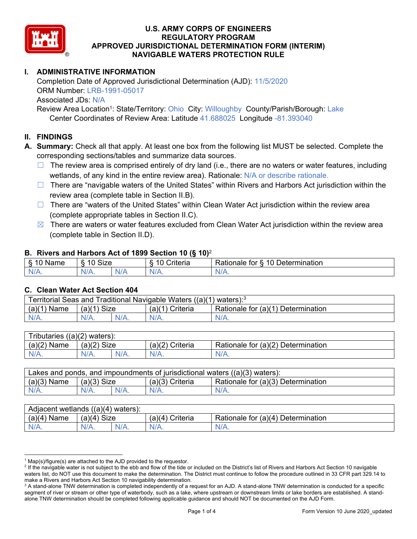

# **I. ADMINISTRATIVE INFORMATION**

Completion Date of Approved Jurisdictional Determination (AJD): 11/5/2020 ORM Number: LRB-1991-05017 Associated JDs: N/A

Review Area Location<sup>1</sup>: State/Territory: Ohio City: Willoughby County/Parish/Borough: Lake Center Coordinates of Review Area: Latitude 41.688025 Longitude -81.393040

# **II. FINDINGS**

**A. Summary:** Check all that apply. At least one box from the following list MUST be selected. Complete the corresponding sections/tables and summarize data sources.

- $\Box$  The review area is comprised entirely of dry land (i.e., there are no waters or water features, including wetlands, of any kind in the entire review area). Rationale: N/A or describe rationale.
- $\Box$  There are "navigable waters of the United States" within Rivers and Harbors Act jurisdiction within the review area (complete table in Section II.B).
- $\Box$  There are "waters of the United States" within Clean Water Act jurisdiction within the review area (complete appropriate tables in Section II.C).
- $\boxtimes$  There are waters or water features excluded from Clean Water Act jurisdiction within the review area (complete table in Section II.D).

### **B. Rivers and Harbors Act of 1899 Section 10 (§ 10)**<sup>2</sup>

|                                              |                                    |     | $\cdot$                         |                                                                                            |
|----------------------------------------------|------------------------------------|-----|---------------------------------|--------------------------------------------------------------------------------------------|
| $\delta$<br>∽<br>.<br>'vame<br>.,<br>٠J<br>- | <b>Size</b><br>$\overline{A}$<br>c |     | <b>AC</b><br>$"$ ritaria<br>ΙА. | $\overline{\phantom{a}}$<br>1 Q<br>⊃etermınatıon<br>$-1 - 1 - 1$<br>tor<br>kationale:<br>. |
| N/A.                                         | 97 A .                             | NIA | N//<br>17.                      |                                                                                            |

### **C. Clean Water Act Section 404**

| Territorial Seas and Traditional Navigable Waters ((a)(1)<br>waters): <sup>3</sup> |                                                                            |  |         |         |  |  |  |  |  |
|------------------------------------------------------------------------------------|----------------------------------------------------------------------------|--|---------|---------|--|--|--|--|--|
| (a)(1)<br>Name                                                                     | Size<br>(a)(1)<br>Criteria<br>(a)(1)<br>Rationale for (a)(1) Determination |  |         |         |  |  |  |  |  |
|                                                                                    | $N/A$ .                                                                    |  | $N/A$ . | $N/A$ . |  |  |  |  |  |

| Tributaries,<br>$((a)(2)$ waters): |                                                                            |         |         |      |  |  |  |  |  |  |
|------------------------------------|----------------------------------------------------------------------------|---------|---------|------|--|--|--|--|--|--|
| (a)(2)<br>Name                     | Size<br>Rationale for (a)(2) Determination<br>(a)(2)<br>(a)(2)<br>Criteria |         |         |      |  |  |  |  |  |  |
| $N/A$ .                            | $N/A$ .                                                                    | $N/A$ . | $N/A$ . | N/A. |  |  |  |  |  |  |

| Lakes and ponds, and impoundments of jurisdictional waters $((a)(3)$ waters): |                    |  |                   |                                    |  |  |  |  |  |
|-------------------------------------------------------------------------------|--------------------|--|-------------------|------------------------------------|--|--|--|--|--|
| $(a)(3)$ Name                                                                 | $(a)(3)$ Size      |  | $(a)(3)$ Criteria | Rationale for (a)(3) Determination |  |  |  |  |  |
| $N/A$ .                                                                       | $N/A$ .<br>$N/A$ . |  | $N/A$ .           | $N/A$ .                            |  |  |  |  |  |

| Adjacent wetlands<br>$((a)(4)$ waters): |                       |         |                   |                                       |  |  |  |  |  |  |
|-----------------------------------------|-----------------------|---------|-------------------|---------------------------------------|--|--|--|--|--|--|
| (a)(4)<br>Name                          | <b>Size</b><br>(a)(4) |         | (a)(4<br>Criteria | (a)(4) Determination<br>Rationale for |  |  |  |  |  |  |
| N/A.                                    | N/A.                  | $N/A$ . | $N/A$ .           | $N/A$ .                               |  |  |  |  |  |  |

<sup>&</sup>lt;sup>1</sup> Map(s)/figure(s) are attached to the AJD provided to the requestor.<br><sup>2</sup> If the navigable water is not subject to the ebb and flow of the tide o

<sup>&</sup>lt;sup>2</sup> If the navigable water is not subject to the ebb and flow of the tide or included on the District's list of Rivers and Harbors Act Section 10 navigable waters list, do NOT use this document to make the determination. The District must continue to follow the procedure outlined in 33 CFR part 329.14 to make a Rivers and Harbors Act Section 10 navigability determination.

 $^3$  A stand-alone TNW determination is completed independently of a request for an AJD. A stand-alone TNW determination is conducted for a specific segment of river or stream or other type of waterbody, such as a lake, where upstream or downstream limits or lake borders are established. A standalone TNW determination should be completed following applicable guidance and should NOT be documented on the AJD Form.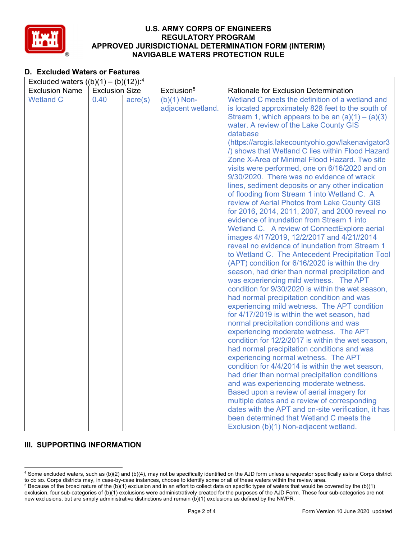

# **D. Excluded Waters or Features**

| Excluded waters $((b)(1) - (b)(12))$ : <sup>4</sup><br>Exclusion <sup>5</sup><br><b>Exclusion Name</b><br><b>Exclusion Size</b><br>Rationale for Exclusion Determination<br><b>Wetland C</b><br>0.40<br>$(b)(1)$ Non-<br>Wetland C meets the definition of a wetland and<br>$\text{acre}(s)$<br>adjacent wetland.<br>is located approximately 828 feet to the south of<br>Stream 1, which appears to be an $(a)(1) - (a)(3)$<br>water. A review of the Lake County GIS<br>database<br>(https://arcgis.lakecountyohio.gov/lakenavigator3<br>/) shows that Wetland C lies within Flood Hazard<br>Zone X-Area of Minimal Flood Hazard. Two site<br>visits were performed, one on 6/16/2020 and on<br>9/30/2020. There was no evidence of wrack<br>lines, sediment deposits or any other indication<br>of flooding from Stream 1 into Wetland C. A<br>review of Aerial Photos from Lake County GIS<br>for 2016, 2014, 2011, 2007, and 2000 reveal no<br>evidence of inundation from Stream 1 into<br>Wetland C. A review of ConnectExplore aerial<br>images 4/17/2019, 12/2/2017 and 4/21//2014<br>reveal no evidence of inundation from Stream 1<br>to Wetland C. The Antecedent Precipitation Tool<br>(APT) condition for 6/16/2020 is within the dry<br>season, had drier than normal precipitation and<br>was experiencing mild wetness. The APT<br>condition for 9/30/2020 is within the wet season,<br>had normal precipitation condition and was<br>experiencing mild wetness. The APT condition<br>for 4/17/2019 is within the wet season, had<br>normal precipitation conditions and was<br>experiencing moderate wetness. The APT<br>condition for 12/2/2017 is within the wet season,<br>had normal precipitation conditions and was<br>experiencing normal wetness. The APT<br>condition for 4/4/2014 is within the wet season,<br>had drier than normal precipitation conditions<br>and was experiencing moderate wetness.<br>Based upon a review of aerial imagery for |
|----------------------------------------------------------------------------------------------------------------------------------------------------------------------------------------------------------------------------------------------------------------------------------------------------------------------------------------------------------------------------------------------------------------------------------------------------------------------------------------------------------------------------------------------------------------------------------------------------------------------------------------------------------------------------------------------------------------------------------------------------------------------------------------------------------------------------------------------------------------------------------------------------------------------------------------------------------------------------------------------------------------------------------------------------------------------------------------------------------------------------------------------------------------------------------------------------------------------------------------------------------------------------------------------------------------------------------------------------------------------------------------------------------------------------------------------------------------------------------------------------------------------------------------------------------------------------------------------------------------------------------------------------------------------------------------------------------------------------------------------------------------------------------------------------------------------------------------------------------------------------------------------------------------------------------------------------------------------------------|
|                                                                                                                                                                                                                                                                                                                                                                                                                                                                                                                                                                                                                                                                                                                                                                                                                                                                                                                                                                                                                                                                                                                                                                                                                                                                                                                                                                                                                                                                                                                                                                                                                                                                                                                                                                                                                                                                                                                                                                                  |
| multiple dates and a review of corresponding<br>dates with the APT and on-site verification, it has                                                                                                                                                                                                                                                                                                                                                                                                                                                                                                                                                                                                                                                                                                                                                                                                                                                                                                                                                                                                                                                                                                                                                                                                                                                                                                                                                                                                                                                                                                                                                                                                                                                                                                                                                                                                                                                                              |

# **III. SUPPORTING INFORMATION**

<sup>4</sup> Some excluded waters, such as (b)(2) and (b)(4), may not be specifically identified on the AJD form unless a requestor specifically asks a Corps district to do so. Corps districts may, in case-by-case instances, choose to identify some or all of these waters within the review area. 5

<sup>&</sup>lt;sup>5</sup> Because of the broad nature of the (b)(1) exclusion and in an effort to collect data on specific types of waters that would be covered by the (b)(1) exclusion, four sub-categories of (b)(1) exclusions were administratively created for the purposes of the AJD Form. These four sub-categories are not new exclusions, but are simply administrative distinctions and remain (b)(1) exclusions as defined by the NWPR.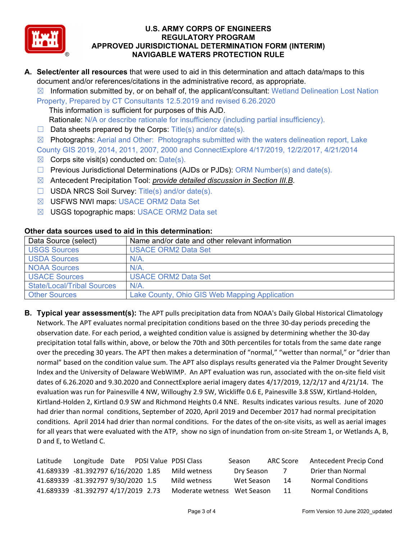

- **A. Select/enter all resources** that were used to aid in this determination and attach data/maps to this document and/or references/citations in the administrative record, as appropriate.
	- $\boxtimes$  Information submitted by, or on behalf of, the applicant/consultant: Wetland Delineation Lost Nation

Property, Prepared by CT Consultants 12.5.2019 and revised 6.26.2020 This information is sufficient for purposes of this AJD.

Rationale: N/A or describe rationale for insufficiency (including partial insufficiency).

- $\Box$  Data sheets prepared by the Corps: Title(s) and/or date(s).
- $\boxtimes$  Photographs: Aerial and Other: Photographs submitted with the waters delineation report, Lake

County GIS 2019, 2014, 2011, 2007, 2000 and ConnectExplore 4/17/2019, 12/2/2017, 4/21/2014

- $\boxtimes$  Corps site visit(s) conducted on: Date(s).
- $\Box$  Previous Jurisdictional Determinations (AJDs or PJDs): ORM Number(s) and date(s).
- ☒ Antecedent Precipitation Tool: *provide detailed discussion in Section III.B*.
- ☐ USDA NRCS Soil Survey: Title(s) and/or date(s).
- ☒ USFWS NWI maps: USACE ORM2 Data Set
- ☒ USGS topographic maps: USACE ORM2 Data set

| Data Source (select)              | Name and/or date and other relevant information |
|-----------------------------------|-------------------------------------------------|
| <b>USGS Sources</b>               | <b>USACE ORM2 Data Set</b>                      |
| <b>USDA Sources</b>               | $N/A$ .                                         |
| <b>NOAA Sources</b>               | $N/A$ .                                         |
| <b>USACE Sources</b>              | <b>USACE ORM2 Data Set</b>                      |
| <b>State/Local/Tribal Sources</b> | N/A                                             |
| <b>Other Sources</b>              | Lake County, Ohio GIS Web Mapping Application   |

#### **Other data sources used to aid in this determination:**

**B. Typical year assessment(s):** The APT pulls precipitation data from NOAA's Daily Global Historical Climatology Network. The APT evaluates normal precipitation conditions based on the three 30‐day periods preceding the observation date. For each period, a weighted condition value is assigned by determining whether the 30‐day precipitation total falls within, above, or below the 70th and 30th percentiles for totals from the same date range over the preceding 30 years. The APT then makes a determination of "normal," "wetter than normal," or "drier than normal" based on the condition value sum. The APT also displays results generated via the Palmer Drought Severity Index and the University of Delaware WebWIMP. An APT evaluation was run, associated with the on‐site field visit dates of 6.26.2020 and 9.30.2020 and ConnectExplore aerial imagery dates 4/17/2019, 12/2/17 and 4/21/14. The evaluation was run for Painesville 4 NW, Willoughy 2.9 SW, Wickliffe 0.6 E, Painesville 3.8 SSW, Kirtland-Holden, Kirtland‐Holden 2, Kirtland 0.9 SW and Richmond Heights 0.4 NNE. Results indicates various results. June of 2020 had drier than normal conditions, September of 2020, April 2019 and December 2017 had normal precipitation conditions. April 2014 had drier than normal conditions. For the dates of the on-site visits, as well as aerial images for all years that were evaluated with the ATP, show no sign of inundation from on-site Stream 1, or Wetlands A, B, D and E, to Wetland C.

| Latitude | Longitude Date PDSI Value PDSI Class |  |                             | Season     | ARC Score  | Antecedent Precip Cond   |
|----------|--------------------------------------|--|-----------------------------|------------|------------|--------------------------|
|          | 41.689339 -81.392797 6/16/2020 1.85  |  | Mild wetness                | Dry Season | $\sqrt{ }$ | Drier than Normal        |
|          | 41.689339 -81.392797 9/30/2020 1.5   |  | Mild wetness                | Wet Season | -14        | <b>Normal Conditions</b> |
|          | 41.689339 -81.392797 4/17/2019 2.73  |  | Moderate wetness Wet Season |            | -11        | <b>Normal Conditions</b> |